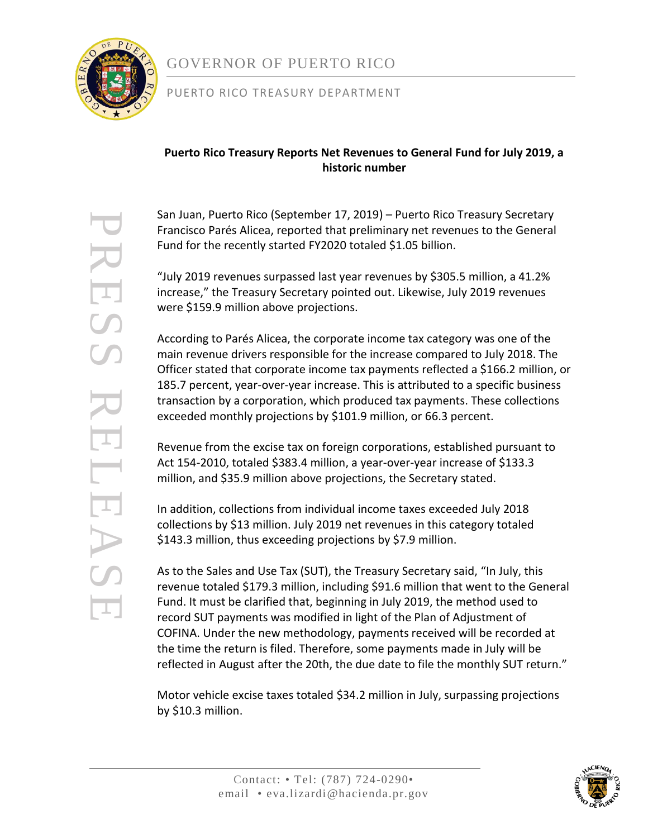

# GOVERNOR OF PUERTO RICO

### PUERTO RICO TREASURY DEPARTMENT

## **Puerto Rico Treasury Reports Net Revenues to General Fund for July 2019, a historic number**

San Juan, Puerto Rico (September 17, 2019) – Puerto Rico Treasury Secretary Francisco Parés Alicea, reported that preliminary net revenues to the General Fund for the recently started FY2020 totaled \$1.05 billion.

"July 2019 revenues surpassed last year revenues by \$305.5 million, a 41.2% increase," the Treasury Secretary pointed out. Likewise, July 2019 revenues were \$159.9 million above projections.

According to Parés Alicea, the corporate income tax category was one of the main revenue drivers responsible for the increase compared to July 2018. The Officer stated that corporate income tax payments reflected a \$166.2 million, or 185.7 percent, year-over-year increase. This is attributed to a specific business transaction by a corporation, which produced tax payments. These collections exceeded monthly projections by \$101.9 million, or 66.3 percent.

Revenue from the excise tax on foreign corporations, established pursuant to Act 154-2010, totaled \$383.4 million, a year-over-year increase of \$133.3 million, and \$35.9 million above projections, the Secretary stated.

In addition, collections from individual income taxes exceeded July 2018 collections by \$13 million. July 2019 net revenues in this category totaled \$143.3 million, thus exceeding projections by \$7.9 million.

As to the Sales and Use Tax (SUT), the Treasury Secretary said, "In July, this revenue totaled \$179.3 million, including \$91.6 million that went to the General Fund. It must be clarified that, beginning in July 2019, the method used to record SUT payments was modified in light of the Plan of Adjustment of COFINA. Under the new methodology, payments received will be recorded at the time the return is filed. Therefore, some payments made in July will be reflected in August after the 20th, the due date to file the monthly SUT return."

Motor vehicle excise taxes totaled \$34.2 million in July, surpassing projections by \$10.3 million.